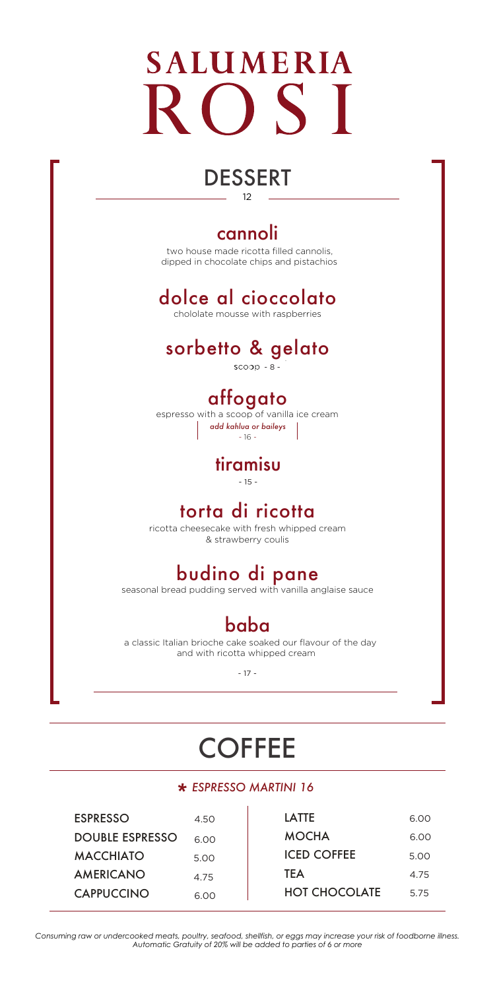# **SALUMERIA**  $\bigcap$   $\subseteq$  T

# DESSERT

12

#### cannoli

 two house made ricotta filled cannolis, dipped in chocolate chips and pistachios

### dolce al cioccolato

chololate mousse with raspberries

# sorbetto & gelato

- 8 -

#### affogato

espresso with a scoop of vanilla ice cream *add kahlua or baileys -* 16 *-*

#### tiramisu

 $-15 -$ 

#### torta di ricotta

ricotta cheesecake with fresh whipped cream & strawberry coulis

## budino di pane

seasonal bread pudding served with vanilla anglaise sauce

### baba

a classic Italian brioche cake soaked our flavour of the day and with ricotta whipped cream

- 17 -

# **COFFEE**

# *ESPRESSO MARTINI \* 16*

| <b>ESPRESSO</b>   | 4.50 |
|-------------------|------|
| DOUBLE ESPRESSO   | 6.00 |
| <b>MACCHIATO</b>  | 5.00 |
| <b>AMERICANO</b>  | 4.75 |
| <b>CAPPUCCINO</b> | 6.00 |

| LATTE                | 6.00 |
|----------------------|------|
| MOCHA                | 6.00 |
| <b>ICED COFFEE</b>   | 5.00 |
| TEA                  | 4.75 |
| <b>HOT CHOCOLATE</b> | 5.75 |

*Consuming raw or undercooked meats, poultry, seafood, shellfish, or eggs may increase your risk of foodborne illness. Automatic Gratuity of 20% will be added to parties of 6 or more*